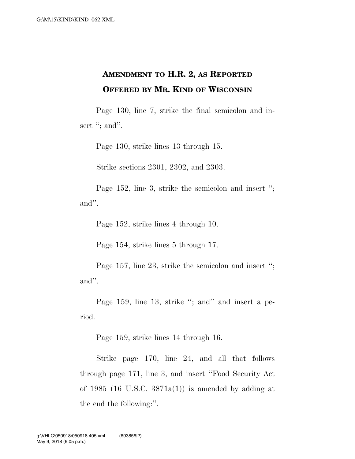## **AMENDMENT TO H.R. 2, AS REPORTED OFFERED BY MR. KIND OF WISCONSIN**

Page 130, line 7, strike the final semicolon and insert "; and".

Page 130, strike lines 13 through 15.

Strike sections 2301, 2302, and 2303.

Page 152, line 3, strike the semicolon and insert ''; and''.

Page 152, strike lines 4 through 10.

Page 154, strike lines 5 through 17.

Page 157, line 23, strike the semicolon and insert ''; and''.

Page 159, line 13, strike "; and" and insert a period.

Page 159, strike lines 14 through 16.

Strike page 170, line 24, and all that follows through page 171, line 3, and insert ''Food Security Act of 1985 (16 U.S.C.  $3871a(1)$ ) is amended by adding at the end the following:''.